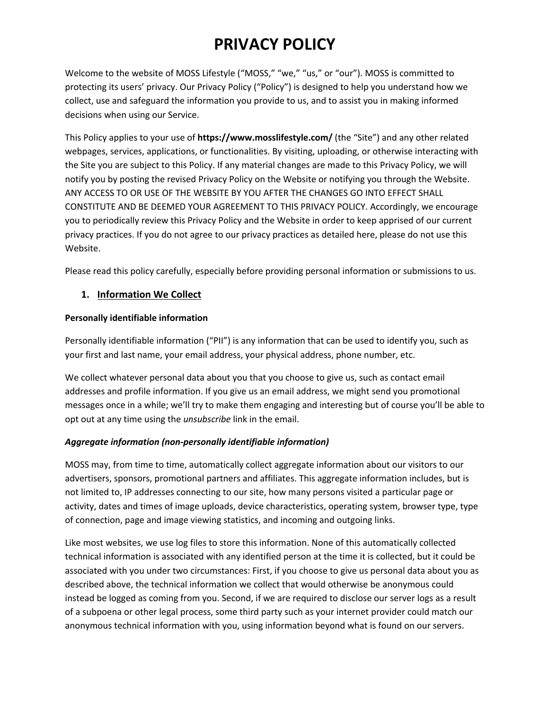# **PRIVACY POLICY**

Welcome to the website of MOSS Lifestyle ("MOSS," "we," "us," or "our"). MOSS is committed to protecting its users' privacy. Our Privacy Policy ("Policy") is designed to help you understand how we collect, use and safeguard the information you provide to us, and to assist you in making informed decisions when using our Service.

This Policy applies to your use of **https://www.mosslifestyle.com/** (the "Site") and any other related webpages, services, applications, or functionalities. By visiting, uploading, or otherwise interacting with the Site you are subject to this Policy. If any material changes are made to this Privacy Policy, we will notify you by posting the revised Privacy Policy on the Website or notifying you through the Website. ANY ACCESS TO OR USE OF THE WEBSITE BY YOU AFTER THE CHANGES GO INTO EFFECT SHALL CONSTITUTE AND BE DEEMED YOUR AGREEMENT TO THIS PRIVACY POLICY. Accordingly, we encourage you to periodically review this Privacy Policy and the Website in order to keep apprised of our current privacy practices. If you do not agree to our privacy practices as detailed here, please do not use this Website.

Please read this policy carefully, especially before providing personal information or submissions to us.

### **1. Information We Collect**

#### **Personally identifiable information**

Personally identifiable information ("PII") is any information that can be used to identify you, such as your first and last name, your email address, your physical address, phone number, etc.

We collect whatever personal data about you that you choose to give us, such as contact email addresses and profile information. If you give us an email address, we might send you promotional messages once in a while; we'll try to make them engaging and interesting but of course you'll be able to opt out at any time using the *unsubscribe* link in the email.

# *Aggregate information (non-personally identifiable information)*

MOSS may, from time to time, automatically collect aggregate information about our visitors to our advertisers, sponsors, promotional partners and affiliates. This aggregate information includes, but is not limited to, IP addresses connecting to our site, how many persons visited a particular page or activity, dates and times of image uploads, device characteristics, operating system, browser type, type of connection, page and image viewing statistics, and incoming and outgoing links.

Like most websites, we use log files to store this information. None of this automatically collected technical information is associated with any identified person at the time it is collected, but it could be associated with you under two circumstances: First, if you choose to give us personal data about you as described above, the technical information we collect that would otherwise be anonymous could instead be logged as coming from you. Second, if we are required to disclose our server logs as a result of a subpoena or other legal process, some third party such as your internet provider could match our anonymous technical information with you, using information beyond what is found on our servers.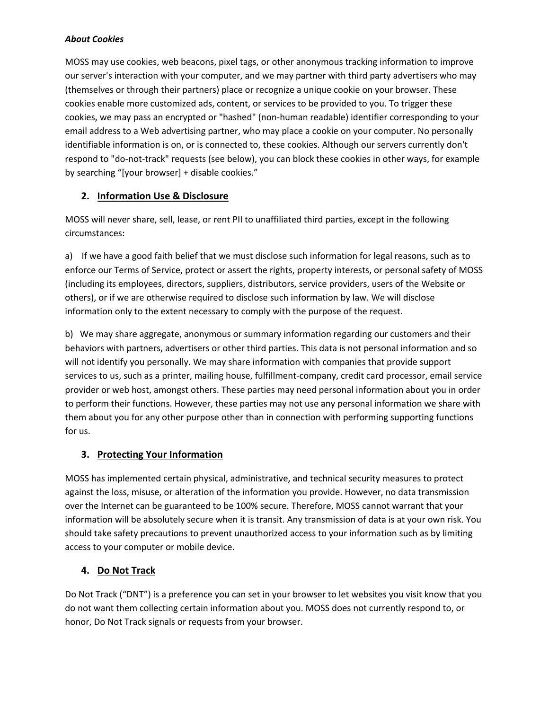# *About Cookies*

MOSS may use cookies, web beacons, pixel tags, or other anonymous tracking information to improve our server's interaction with your computer, and we may partner with third party advertisers who may (themselves or through their partners) place or recognize a unique cookie on your browser. These cookies enable more customized ads, content, or services to be provided to you. To trigger these cookies, we may pass an encrypted or "hashed" (non-human readable) identifier corresponding to your email address to a Web advertising partner, who may place a cookie on your computer. No personally identifiable information is on, or is connected to, these cookies. Although our servers currently don't respond to "do-not-track" requests (see below), you can block these cookies in other ways, for example by searching "[your browser] + disable cookies."

# **2. Information Use & Disclosure**

MOSS will never share, sell, lease, or rent PII to unaffiliated third parties, except in the following circumstances:

a) If we have a good faith belief that we must disclose such information for legal reasons, such as to enforce our Terms of Service, protect or assert the rights, property interests, or personal safety of MOSS (including its employees, directors, suppliers, distributors, service providers, users of the Website or others), or if we are otherwise required to disclose such information by law. We will disclose information only to the extent necessary to comply with the purpose of the request.

b) We may share aggregate, anonymous or summary information regarding our customers and their behaviors with partners, advertisers or other third parties. This data is not personal information and so will not identify you personally. We may share information with companies that provide support services to us, such as a printer, mailing house, fulfillment-company, credit card processor, email service provider or web host, amongst others. These parties may need personal information about you in order to perform their functions. However, these parties may not use any personal information we share with them about you for any other purpose other than in connection with performing supporting functions for us.

# **3. Protecting Your Information**

MOSS has implemented certain physical, administrative, and technical security measures to protect against the loss, misuse, or alteration of the information you provide. However, no data transmission over the Internet can be guaranteed to be 100% secure. Therefore, MOSS cannot warrant that your information will be absolutely secure when it is transit. Any transmission of data is at your own risk. You should take safety precautions to prevent unauthorized access to your information such as by limiting access to your computer or mobile device.

# **4. Do Not Track**

Do Not Track ("DNT") is a preference you can set in your browser to let websites you visit know that you do not want them collecting certain information about you. MOSS does not currently respond to, or honor, Do Not Track signals or requests from your browser.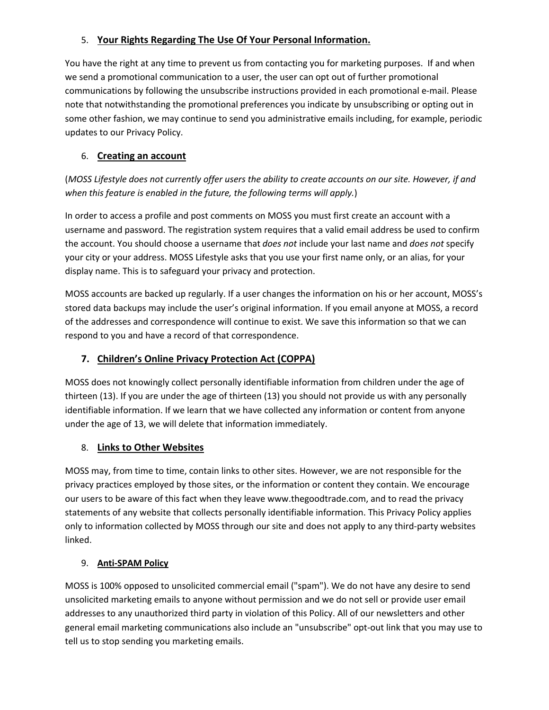# 5. **Your Rights Regarding The Use Of Your Personal Information.**

You have the right at any time to prevent us from contacting you for marketing purposes. If and when we send a promotional communication to a user, the user can opt out of further promotional communications by following the unsubscribe instructions provided in each promotional e-mail. Please note that notwithstanding the promotional preferences you indicate by unsubscribing or opting out in some other fashion, we may continue to send you administrative emails including, for example, periodic updates to our Privacy Policy.

# 6. **Creating an account**

(*MOSS Lifestyle does not currently offer users the ability to create accounts on our site. However, if and when this feature is enabled in the future, the following terms will apply.*)

In order to access a profile and post comments on MOSS you must first create an account with a username and password. The registration system requires that a valid email address be used to confirm the account. You should choose a username that *does not* include your last name and *does not* specify your city or your address. MOSS Lifestyle asks that you use your first name only, or an alias, for your display name. This is to safeguard your privacy and protection.

MOSS accounts are backed up regularly. If a user changes the information on his or her account, MOSS's stored data backups may include the user's original information. If you email anyone at MOSS, a record of the addresses and correspondence will continue to exist. We save this information so that we can respond to you and have a record of that correspondence.

# **7. Children's Online Privacy Protection Act (COPPA)**

MOSS does not knowingly collect personally identifiable information from children under the age of thirteen (13). If you are under the age of thirteen (13) you should not provide us with any personally identifiable information. If we learn that we have collected any information or content from anyone under the age of 13, we will delete that information immediately.

# 8. **Links to Other Websites**

MOSS may, from time to time, contain links to other sites. However, we are not responsible for the privacy practices employed by those sites, or the information or content they contain. We encourage our users to be aware of this fact when they leave www.thegoodtrade.com, and to read the privacy statements of any website that collects personally identifiable information. This Privacy Policy applies only to information collected by MOSS through our site and does not apply to any third-party websites linked.

# 9. **Anti-SPAM Policy**

MOSS is 100% opposed to unsolicited commercial email ("spam"). We do not have any desire to send unsolicited marketing emails to anyone without permission and we do not sell or provide user email addresses to any unauthorized third party in violation of this Policy. All of our newsletters and other general email marketing communications also include an "unsubscribe" opt-out link that you may use to tell us to stop sending you marketing emails.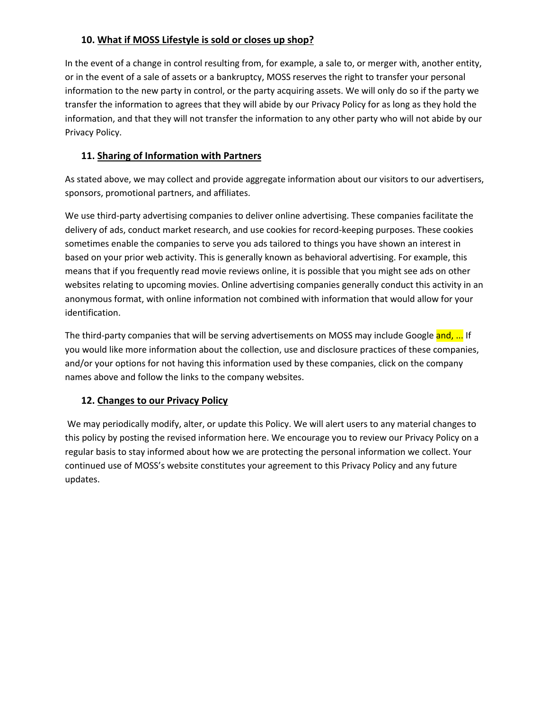# **10. What if MOSS Lifestyle is sold or closes up shop?**

In the event of a change in control resulting from, for example, a sale to, or merger with, another entity, or in the event of a sale of assets or a bankruptcy, MOSS reserves the right to transfer your personal information to the new party in control, or the party acquiring assets. We will only do so if the party we transfer the information to agrees that they will abide by our Privacy Policy for as long as they hold the information, and that they will not transfer the information to any other party who will not abide by our Privacy Policy.

# **11. Sharing of Information with Partners**

As stated above, we may collect and provide aggregate information about our visitors to our advertisers, sponsors, promotional partners, and affiliates.

We use third-party advertising companies to deliver online advertising. These companies facilitate the delivery of ads, conduct market research, and use cookies for record-keeping purposes. These cookies sometimes enable the companies to serve you ads tailored to things you have shown an interest in based on your prior web activity. This is generally known as behavioral advertising. For example, this means that if you frequently read movie reviews online, it is possible that you might see ads on other websites relating to upcoming movies. Online advertising companies generally conduct this activity in an anonymous format, with online information not combined with information that would allow for your identification.

The third-party companies that will be serving advertisements on MOSS may include Google and, ... If you would like more information about the collection, use and disclosure practices of these companies, and/or your options for not having this information used by these companies, click on the company names above and follow the links to the company websites.

# **12. Changes to our Privacy Policy**

We may periodically modify, alter, or update this Policy. We will alert users to any material changes to this policy by posting the revised information here. We encourage you to review our Privacy Policy on a regular basis to stay informed about how we are protecting the personal information we collect. Your continued use of MOSS's website constitutes your agreement to this Privacy Policy and any future updates.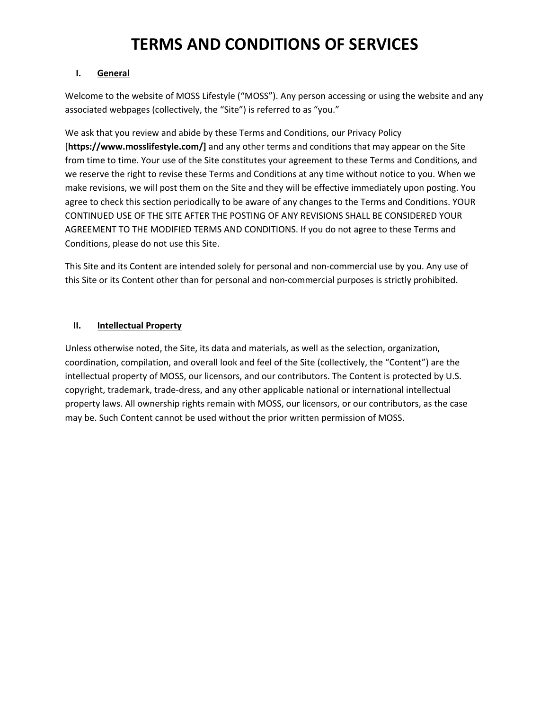# **TERMS AND CONDITIONS OF SERVICES**

#### **I. General**

Welcome to the website of MOSS Lifestyle ("MOSS"). Any person accessing or using the website and any associated webpages (collectively, the "Site") is referred to as "you."

We ask that you review and abide by these Terms and Conditions, our Privacy Policy [**https://www.mosslifestyle.com/]** and any other terms and conditions that may appear on the Site from time to time. Your use of the Site constitutes your agreement to these Terms and Conditions, and we reserve the right to revise these Terms and Conditions at any time without notice to you. When we make revisions, we will post them on the Site and they will be effective immediately upon posting. You agree to check this section periodically to be aware of any changes to the Terms and Conditions. YOUR CONTINUED USE OF THE SITE AFTER THE POSTING OF ANY REVISIONS SHALL BE CONSIDERED YOUR AGREEMENT TO THE MODIFIED TERMS AND CONDITIONS. If you do not agree to these Terms and Conditions, please do not use this Site.

This Site and its Content are intended solely for personal and non-commercial use by you. Any use of this Site or its Content other than for personal and non-commercial purposes is strictly prohibited.

# **II. Intellectual Property**

Unless otherwise noted, the Site, its data and materials, as well as the selection, organization, coordination, compilation, and overall look and feel of the Site (collectively, the "Content") are the intellectual property of MOSS, our licensors, and our contributors. The Content is protected by U.S. copyright, trademark, trade-dress, and any other applicable national or international intellectual property laws. All ownership rights remain with MOSS, our licensors, or our contributors, as the case may be. Such Content cannot be used without the prior written permission of MOSS.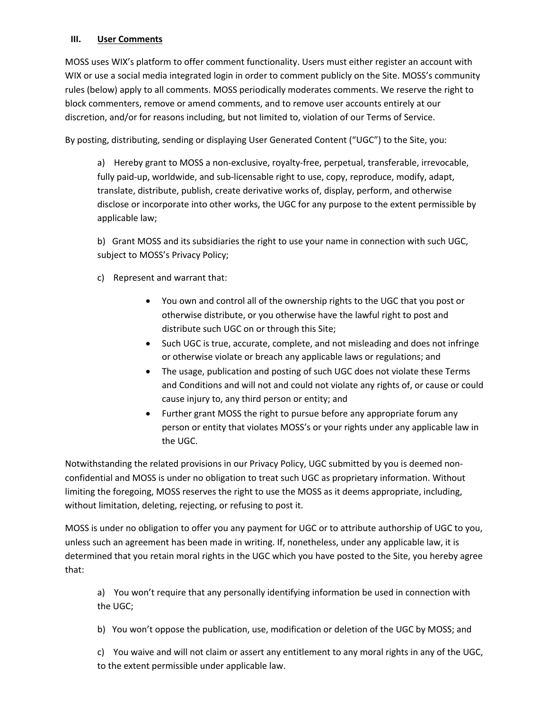# **III. User Comments**

MOSS uses WIX's platform to offer comment functionality. Users must either register an account with WIX or use a social media integrated login in order to comment publicly on the Site. MOSS's community rules (below) apply to all comments. MOSS periodically moderates comments. We reserve the right to block commenters, remove or amend comments, and to remove user accounts entirely at our discretion, and/or for reasons including, but not limited to, violation of our Terms of Service.

By posting, distributing, sending or displaying User Generated Content ("UGC") to the Site, you:

a) Hereby grant to MOSS a non-exclusive, royalty-free, perpetual, transferable, irrevocable, fully paid-up, worldwide, and sub-licensable right to use, copy, reproduce, modify, adapt, translate, distribute, publish, create derivative works of, display, perform, and otherwise disclose or incorporate into other works, the UGC for any purpose to the extent permissible by applicable law;

b) Grant MOSS and its subsidiaries the right to use your name in connection with such UGC, subject to MOSS's Privacy Policy;

c) Represent and warrant that:

- You own and control all of the ownership rights to the UGC that you post or otherwise distribute, or you otherwise have the lawful right to post and distribute such UGC on or through this Site;
- Such UGC is true, accurate, complete, and not misleading and does not infringe or otherwise violate or breach any applicable laws or regulations; and
- The usage, publication and posting of such UGC does not violate these Terms and Conditions and will not and could not violate any rights of, or cause or could cause injury to, any third person or entity; and
- Further grant MOSS the right to pursue before any appropriate forum any person or entity that violates MOSS's or your rights under any applicable law in the UGC.

Notwithstanding the related provisions in our Privacy Policy, UGC submitted by you is deemed nonconfidential and MOSS is under no obligation to treat such UGC as proprietary information. Without limiting the foregoing, MOSS reserves the right to use the MOSS as it deems appropriate, including, without limitation, deleting, rejecting, or refusing to post it.

MOSS is under no obligation to offer you any payment for UGC or to attribute authorship of UGC to you, unless such an agreement has been made in writing. If, nonetheless, under any applicable law, it is determined that you retain moral rights in the UGC which you have posted to the Site, you hereby agree that:

a) You won't require that any personally identifying information be used in connection with the UGC;

b) You won't oppose the publication, use, modification or deletion of the UGC by MOSS; and

c) You waive and will not claim or assert any entitlement to any moral rights in any of the UGC, to the extent permissible under applicable law.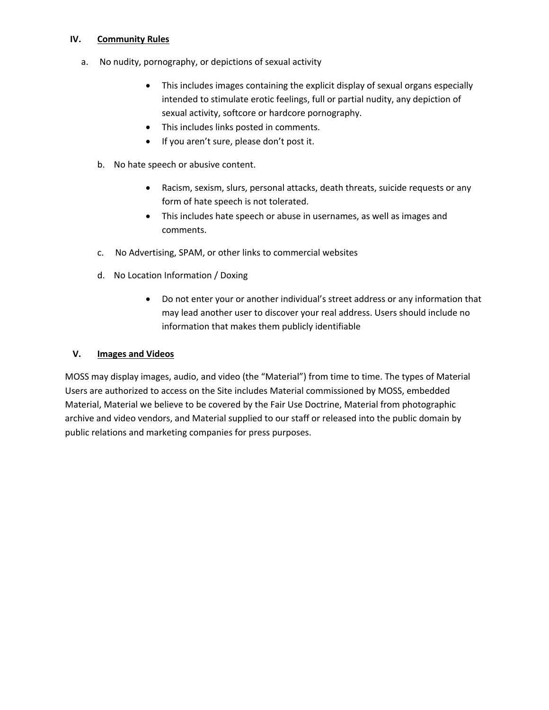## **IV. Community Rules**

- a. No nudity, pornography, or depictions of sexual activity
	- This includes images containing the explicit display of sexual organs especially intended to stimulate erotic feelings, full or partial nudity, any depiction of sexual activity, softcore or hardcore pornography.
	- This includes links posted in comments.
	- If you aren't sure, please don't post it.
	- b. No hate speech or abusive content.
		- Racism, sexism, slurs, personal attacks, death threats, suicide requests or any form of hate speech is not tolerated.
		- This includes hate speech or abuse in usernames, as well as images and comments.
	- c. No Advertising, SPAM, or other links to commercial websites
	- d. No Location Information / Doxing
		- Do not enter your or another individual's street address or any information that may lead another user to discover your real address. Users should include no information that makes them publicly identifiable

## **V. Images and Videos**

MOSS may display images, audio, and video (the "Material") from time to time. The types of Material Users are authorized to access on the Site includes Material commissioned by MOSS, embedded Material, Material we believe to be covered by the Fair Use Doctrine, Material from photographic archive and video vendors, and Material supplied to our staff or released into the public domain by public relations and marketing companies for press purposes.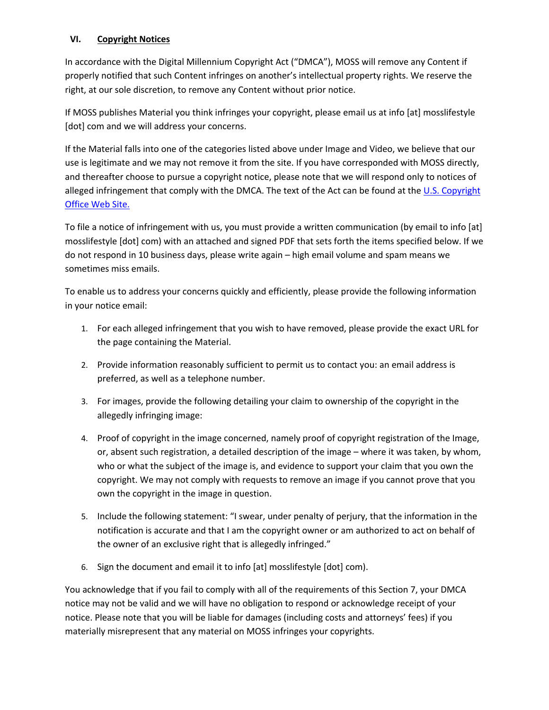# **VI. Copyright Notices**

In accordance with the Digital Millennium Copyright Act ("DMCA"), MOSS will remove any Content if properly notified that such Content infringes on another's intellectual property rights. We reserve the right, at our sole discretion, to remove any Content without prior notice.

If MOSS publishes Material you think infringes your copyright, please email us at info [at] mosslifestyle [dot] com and we will address your concerns.

If the Material falls into one of the categories listed above under Image and Video, we believe that our use is legitimate and we may not remove it from the site. If you have corresponded with MOSS directly, and thereafter choose to pursue a copyright notice, please note that we will respond only to notices of alleged infringement that comply with the DMCA. The text of the Act can be found at the U.S. Copyright Office Web Site.

To file a notice of infringement with us, you must provide a written communication (by email to info [at] mosslifestyle [dot] com) with an attached and signed PDF that sets forth the items specified below. If we do not respond in 10 business days, please write again – high email volume and spam means we sometimes miss emails.

To enable us to address your concerns quickly and efficiently, please provide the following information in your notice email:

- 1. For each alleged infringement that you wish to have removed, please provide the exact URL for the page containing the Material.
- 2. Provide information reasonably sufficient to permit us to contact you: an email address is preferred, as well as a telephone number.
- 3. For images, provide the following detailing your claim to ownership of the copyright in the allegedly infringing image:
- 4. Proof of copyright in the image concerned, namely proof of copyright registration of the Image, or, absent such registration, a detailed description of the image – where it was taken, by whom, who or what the subject of the image is, and evidence to support your claim that you own the copyright. We may not comply with requests to remove an image if you cannot prove that you own the copyright in the image in question.
- 5. Include the following statement: "I swear, under penalty of perjury, that the information in the notification is accurate and that I am the copyright owner or am authorized to act on behalf of the owner of an exclusive right that is allegedly infringed."
- 6. Sign the document and email it to info [at] mosslifestyle [dot] com).

You acknowledge that if you fail to comply with all of the requirements of this Section 7, your DMCA notice may not be valid and we will have no obligation to respond or acknowledge receipt of your notice. Please note that you will be liable for damages (including costs and attorneys' fees) if you materially misrepresent that any material on MOSS infringes your copyrights.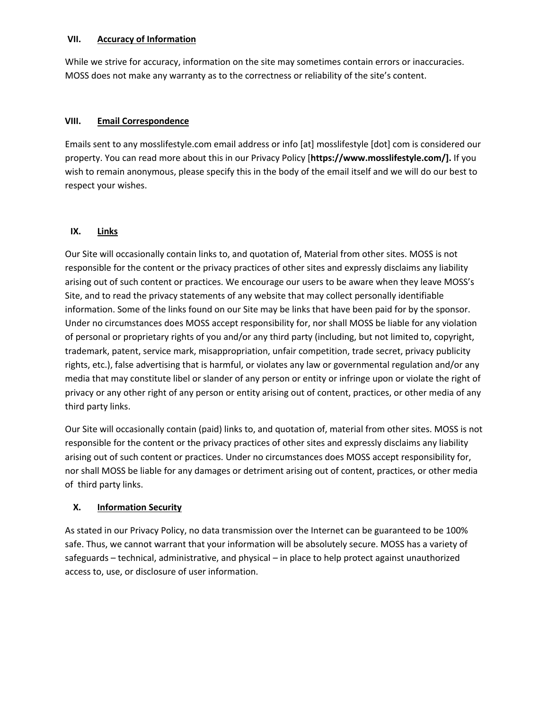### **VII. Accuracy of Information**

While we strive for accuracy, information on the site may sometimes contain errors or inaccuracies. MOSS does not make any warranty as to the correctness or reliability of the site's content.

# **VIII. Email Correspondence**

Emails sent to any mosslifestyle.com email address or info [at] mosslifestyle [dot] com is considered our property. You can read more about this in our Privacy Policy [**https://www.mosslifestyle.com/].** If you wish to remain anonymous, please specify this in the body of the email itself and we will do our best to respect your wishes.

### **IX. Links**

Our Site will occasionally contain links to, and quotation of, Material from other sites. MOSS is not responsible for the content or the privacy practices of other sites and expressly disclaims any liability arising out of such content or practices. We encourage our users to be aware when they leave MOSS's Site, and to read the privacy statements of any website that may collect personally identifiable information. Some of the links found on our Site may be links that have been paid for by the sponsor. Under no circumstances does MOSS accept responsibility for, nor shall MOSS be liable for any violation of personal or proprietary rights of you and/or any third party (including, but not limited to, copyright, trademark, patent, service mark, misappropriation, unfair competition, trade secret, privacy publicity rights, etc.), false advertising that is harmful, or violates any law or governmental regulation and/or any media that may constitute libel or slander of any person or entity or infringe upon or violate the right of privacy or any other right of any person or entity arising out of content, practices, or other media of any third party links.

Our Site will occasionally contain (paid) links to, and quotation of, material from other sites. MOSS is not responsible for the content or the privacy practices of other sites and expressly disclaims any liability arising out of such content or practices. Under no circumstances does MOSS accept responsibility for, nor shall MOSS be liable for any damages or detriment arising out of content, practices, or other media of third party links.

# **X. Information Security**

As stated in our Privacy Policy, no data transmission over the Internet can be guaranteed to be 100% safe. Thus, we cannot warrant that your information will be absolutely secure. MOSS has a variety of safeguards – technical, administrative, and physical – in place to help protect against unauthorized access to, use, or disclosure of user information.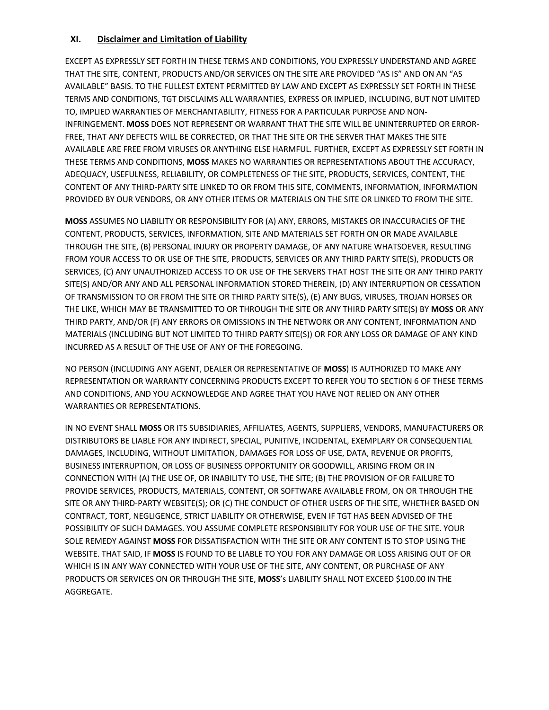## **XI. Disclaimer and Limitation of Liability**

EXCEPT AS EXPRESSLY SET FORTH IN THESE TERMS AND CONDITIONS, YOU EXPRESSLY UNDERSTAND AND AGREE THAT THE SITE, CONTENT, PRODUCTS AND/OR SERVICES ON THE SITE ARE PROVIDED "AS IS" AND ON AN "AS AVAILABLE" BASIS. TO THE FULLEST EXTENT PERMITTED BY LAW AND EXCEPT AS EXPRESSLY SET FORTH IN THESE TERMS AND CONDITIONS, TGT DISCLAIMS ALL WARRANTIES, EXPRESS OR IMPLIED, INCLUDING, BUT NOT LIMITED TO, IMPLIED WARRANTIES OF MERCHANTABILITY, FITNESS FOR A PARTICULAR PURPOSE AND NON-INFRINGEMENT. **MOSS** DOES NOT REPRESENT OR WARRANT THAT THE SITE WILL BE UNINTERRUPTED OR ERROR-FREE, THAT ANY DEFECTS WILL BE CORRECTED, OR THAT THE SITE OR THE SERVER THAT MAKES THE SITE AVAILABLE ARE FREE FROM VIRUSES OR ANYTHING ELSE HARMFUL. FURTHER, EXCEPT AS EXPRESSLY SET FORTH IN THESE TERMS AND CONDITIONS, **MOSS** MAKES NO WARRANTIES OR REPRESENTATIONS ABOUT THE ACCURACY, ADEQUACY, USEFULNESS, RELIABILITY, OR COMPLETENESS OF THE SITE, PRODUCTS, SERVICES, CONTENT, THE CONTENT OF ANY THIRD-PARTY SITE LINKED TO OR FROM THIS SITE, COMMENTS, INFORMATION, INFORMATION PROVIDED BY OUR VENDORS, OR ANY OTHER ITEMS OR MATERIALS ON THE SITE OR LINKED TO FROM THE SITE.

**MOSS** ASSUMES NO LIABILITY OR RESPONSIBILITY FOR (A) ANY, ERRORS, MISTAKES OR INACCURACIES OF THE CONTENT, PRODUCTS, SERVICES, INFORMATION, SITE AND MATERIALS SET FORTH ON OR MADE AVAILABLE THROUGH THE SITE, (B) PERSONAL INJURY OR PROPERTY DAMAGE, OF ANY NATURE WHATSOEVER, RESULTING FROM YOUR ACCESS TO OR USE OF THE SITE, PRODUCTS, SERVICES OR ANY THIRD PARTY SITE(S), PRODUCTS OR SERVICES, (C) ANY UNAUTHORIZED ACCESS TO OR USE OF THE SERVERS THAT HOST THE SITE OR ANY THIRD PARTY SITE(S) AND/OR ANY AND ALL PERSONAL INFORMATION STORED THEREIN, (D) ANY INTERRUPTION OR CESSATION OF TRANSMISSION TO OR FROM THE SITE OR THIRD PARTY SITE(S), (E) ANY BUGS, VIRUSES, TROJAN HORSES OR THE LIKE, WHICH MAY BE TRANSMITTED TO OR THROUGH THE SITE OR ANY THIRD PARTY SITE(S) BY **MOSS** OR ANY THIRD PARTY, AND/OR (F) ANY ERRORS OR OMISSIONS IN THE NETWORK OR ANY CONTENT, INFORMATION AND MATERIALS (INCLUDING BUT NOT LIMITED TO THIRD PARTY SITE(S)) OR FOR ANY LOSS OR DAMAGE OF ANY KIND INCURRED AS A RESULT OF THE USE OF ANY OF THE FOREGOING.

NO PERSON (INCLUDING ANY AGENT, DEALER OR REPRESENTATIVE OF **MOSS**) IS AUTHORIZED TO MAKE ANY REPRESENTATION OR WARRANTY CONCERNING PRODUCTS EXCEPT TO REFER YOU TO SECTION 6 OF THESE TERMS AND CONDITIONS, AND YOU ACKNOWLEDGE AND AGREE THAT YOU HAVE NOT RELIED ON ANY OTHER WARRANTIES OR REPRESENTATIONS.

IN NO EVENT SHALL **MOSS** OR ITS SUBSIDIARIES, AFFILIATES, AGENTS, SUPPLIERS, VENDORS, MANUFACTURERS OR DISTRIBUTORS BE LIABLE FOR ANY INDIRECT, SPECIAL, PUNITIVE, INCIDENTAL, EXEMPLARY OR CONSEQUENTIAL DAMAGES, INCLUDING, WITHOUT LIMITATION, DAMAGES FOR LOSS OF USE, DATA, REVENUE OR PROFITS, BUSINESS INTERRUPTION, OR LOSS OF BUSINESS OPPORTUNITY OR GOODWILL, ARISING FROM OR IN CONNECTION WITH (A) THE USE OF, OR INABILITY TO USE, THE SITE; (B) THE PROVISION OF OR FAILURE TO PROVIDE SERVICES, PRODUCTS, MATERIALS, CONTENT, OR SOFTWARE AVAILABLE FROM, ON OR THROUGH THE SITE OR ANY THIRD-PARTY WEBSITE(S); OR (C) THE CONDUCT OF OTHER USERS OF THE SITE, WHETHER BASED ON CONTRACT, TORT, NEGLIGENCE, STRICT LIABILITY OR OTHERWISE, EVEN IF TGT HAS BEEN ADVISED OF THE POSSIBILITY OF SUCH DAMAGES. YOU ASSUME COMPLETE RESPONSIBILITY FOR YOUR USE OF THE SITE. YOUR SOLE REMEDY AGAINST **MOSS** FOR DISSATISFACTION WITH THE SITE OR ANY CONTENT IS TO STOP USING THE WEBSITE. THAT SAID, IF **MOSS** IS FOUND TO BE LIABLE TO YOU FOR ANY DAMAGE OR LOSS ARISING OUT OF OR WHICH IS IN ANY WAY CONNECTED WITH YOUR USE OF THE SITE, ANY CONTENT, OR PURCHASE OF ANY PRODUCTS OR SERVICES ON OR THROUGH THE SITE, **MOSS**'s LIABILITY SHALL NOT EXCEED \$100.00 IN THE AGGREGATE.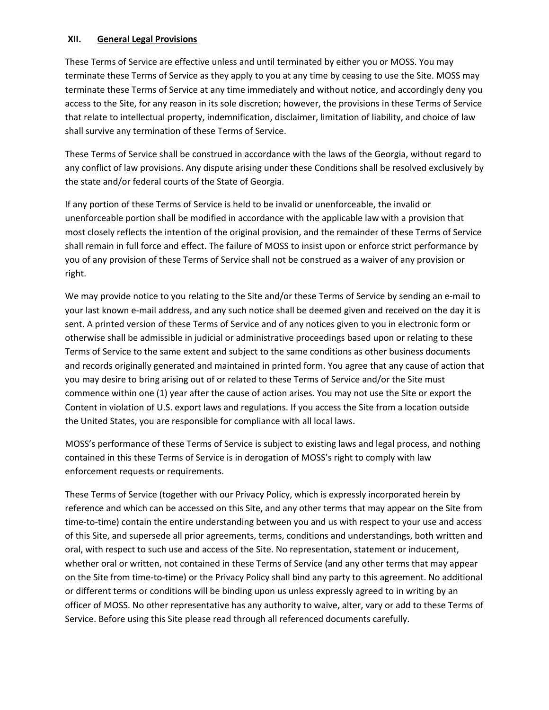## **XII. General Legal Provisions**

These Terms of Service are effective unless and until terminated by either you or MOSS. You may terminate these Terms of Service as they apply to you at any time by ceasing to use the Site. MOSS may terminate these Terms of Service at any time immediately and without notice, and accordingly deny you access to the Site, for any reason in its sole discretion; however, the provisions in these Terms of Service that relate to intellectual property, indemnification, disclaimer, limitation of liability, and choice of law shall survive any termination of these Terms of Service.

These Terms of Service shall be construed in accordance with the laws of the Georgia, without regard to any conflict of law provisions. Any dispute arising under these Conditions shall be resolved exclusively by the state and/or federal courts of the State of Georgia.

If any portion of these Terms of Service is held to be invalid or unenforceable, the invalid or unenforceable portion shall be modified in accordance with the applicable law with a provision that most closely reflects the intention of the original provision, and the remainder of these Terms of Service shall remain in full force and effect. The failure of MOSS to insist upon or enforce strict performance by you of any provision of these Terms of Service shall not be construed as a waiver of any provision or right.

We may provide notice to you relating to the Site and/or these Terms of Service by sending an e-mail to your last known e-mail address, and any such notice shall be deemed given and received on the day it is sent. A printed version of these Terms of Service and of any notices given to you in electronic form or otherwise shall be admissible in judicial or administrative proceedings based upon or relating to these Terms of Service to the same extent and subject to the same conditions as other business documents and records originally generated and maintained in printed form. You agree that any cause of action that you may desire to bring arising out of or related to these Terms of Service and/or the Site must commence within one (1) year after the cause of action arises. You may not use the Site or export the Content in violation of U.S. export laws and regulations. If you access the Site from a location outside the United States, you are responsible for compliance with all local laws.

MOSS's performance of these Terms of Service is subject to existing laws and legal process, and nothing contained in this these Terms of Service is in derogation of MOSS's right to comply with law enforcement requests or requirements.

These Terms of Service (together with our Privacy Policy, which is expressly incorporated herein by reference and which can be accessed on this Site, and any other terms that may appear on the Site from time-to-time) contain the entire understanding between you and us with respect to your use and access of this Site, and supersede all prior agreements, terms, conditions and understandings, both written and oral, with respect to such use and access of the Site. No representation, statement or inducement, whether oral or written, not contained in these Terms of Service (and any other terms that may appear on the Site from time-to-time) or the Privacy Policy shall bind any party to this agreement. No additional or different terms or conditions will be binding upon us unless expressly agreed to in writing by an officer of MOSS. No other representative has any authority to waive, alter, vary or add to these Terms of Service. Before using this Site please read through all referenced documents carefully.